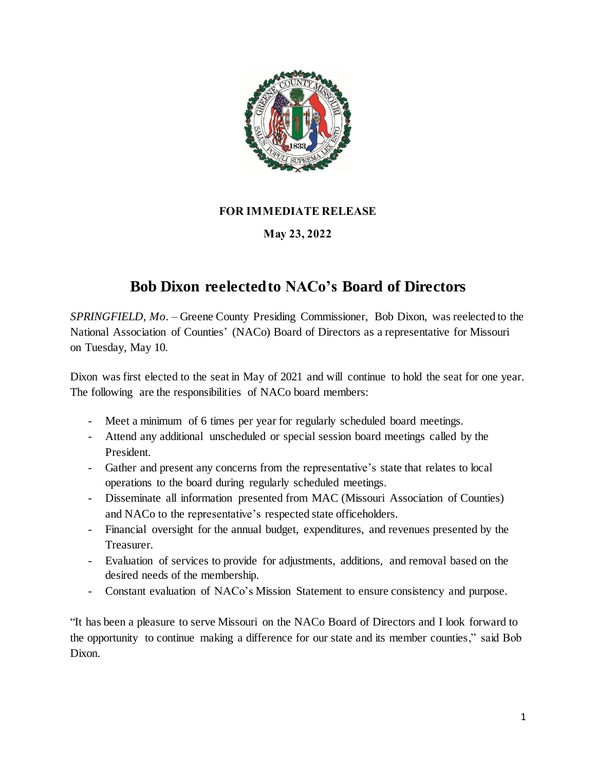

## **FOR IMMEDIATE RELEASE**

## **May 23, 2022**

## **Bob Dixon reelected to NACo's Board of Directors**

*SPRINGFIELD, Mo.* – Greene County Presiding Commissioner, Bob Dixon, was reelected to the National Association of Counties' (NACo) Board of Directors as a representative for Missouri on Tuesday, May 10.

Dixon was first elected to the seat in May of 2021 and will continue to hold the seat for one year. The following are the responsibilities of NACo board members:

- Meet a minimum of 6 times per year for regularly scheduled board meetings.
- Attend any additional unscheduled or special session board meetings called by the President.
- Gather and present any concerns from the representative's state that relates to local operations to the board during regularly scheduled meetings.
- Disseminate all information presented from MAC (Missouri Association of Counties) and NACo to the representative's respected state officeholders.
- Financial oversight for the annual budget, expenditures, and revenues presented by the Treasurer.
- Evaluation of services to provide for adjustments, additions, and removal based on the desired needs of the membership.
- Constant evaluation of NACo's Mission Statement to ensure consistency and purpose.

"It has been a pleasure to serve Missouri on the NACo Board of Directors and I look forward to the opportunity to continue making a difference for our state and its member counties," said Bob Dixon.